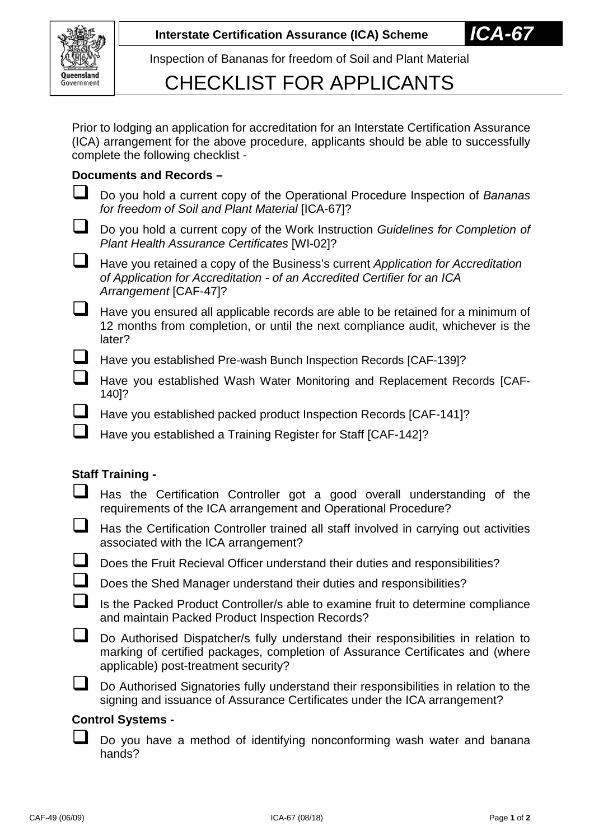

Inspection of Bananas for freedom of Soil and Plant Material

## CHECKLIST FOR APPLICANTS

Prior to lodging an application for accreditation for an Interstate Certification Assurance (ICA) arrangement for the above procedure, applicants should be able to successfully complete the following checklist -

### **Documents and Records –**

- Do you hold a current copy of the Operational Procedure Inspection of *Bananas for freedom of Soil and Plant Material* [ICA-67]?
- Do you hold a current copy of the Work Instruction *Guidelines for Completion of Plant Health Assurance Certificates* [WI-02]?
- Have you retained a copy of the Business's current *Application for Accreditation of Application for Accreditation - of an Accredited Certifier for an ICA Arrangement* [CAF-47]?
- $\Box$  Have you ensured all applicable records are able to be retained for a minimum of 12 months from completion, or until the next compliance audit, whichever is the later?
	- Have you established Pre-wash Bunch Inspection Records [CAF-139]?
		- Have you established Wash Water Monitoring and Replacement Records [CAF-140]?
- Have you established packed product Inspection Records [CAF-141]?
- Have you established a Training Register for Staff [CAF-142]?

#### **Staff Training -**

- Has the Certification Controller got a good overall understanding of the requirements of the ICA arrangement and Operational Procedure?
- $\Box$  Has the Certification Controller trained all staff involved in carrying out activities associated with the ICA arrangement?
- Does the Fruit Recieval Officer understand their duties and responsibilities?
- Does the Shed Manager understand their duties and responsibilities?
- $\Box$  Is the Packed Product Controller/s able to examine fruit to determine compliance and maintain Packed Product Inspection Records?
- Do Authorised Dispatcher/s fully understand their responsibilities in relation to marking of certified packages, completion of Assurance Certificates and (where applicable) post-treatment security?
	- Do Authorised Signatories fully understand their responsibilities in relation to the signing and issuance of Assurance Certificates under the ICA arrangement?

## **Control Systems -**

Do you have a method of identifying nonconforming wash water and banana hands?